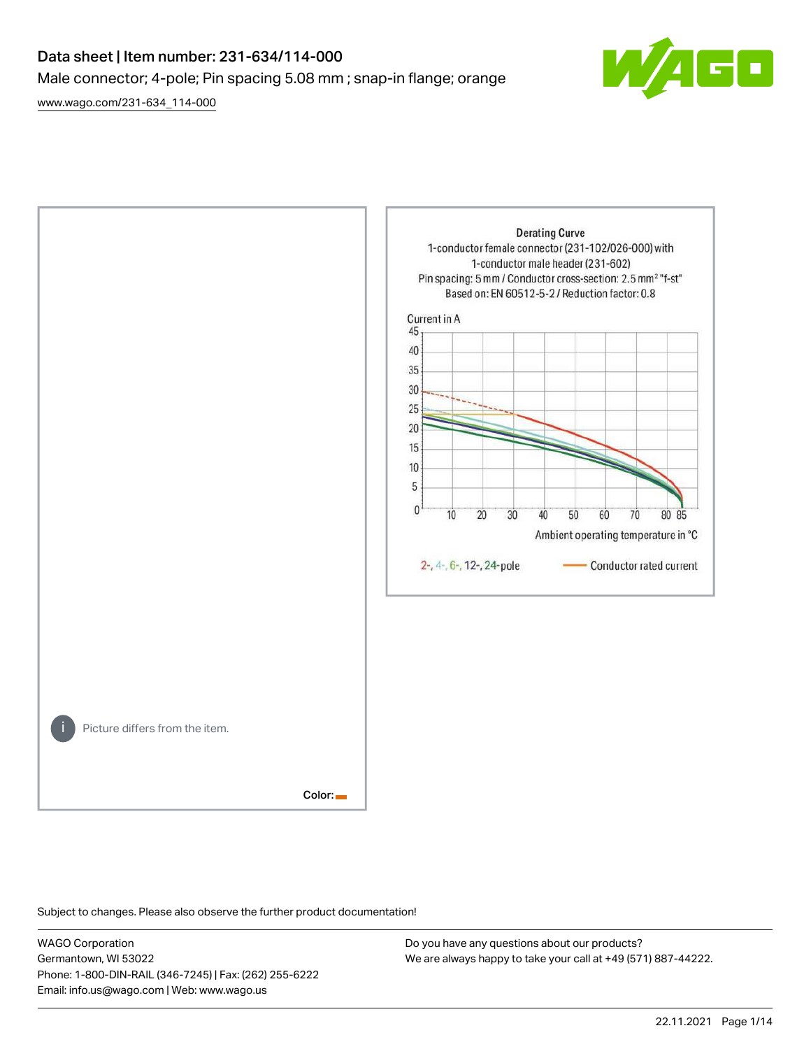# Data sheet | Item number: 231-634/114-000 Male connector; 4-pole; Pin spacing 5.08 mm ; snap-in flange; orange

[www.wago.com/231-634\\_114-000](http://www.wago.com/231-634_114-000)





Subject to changes. Please also observe the further product documentation!

WAGO Corporation Germantown, WI 53022 Phone: 1-800-DIN-RAIL (346-7245) | Fax: (262) 255-6222 Email: info.us@wago.com | Web: www.wago.us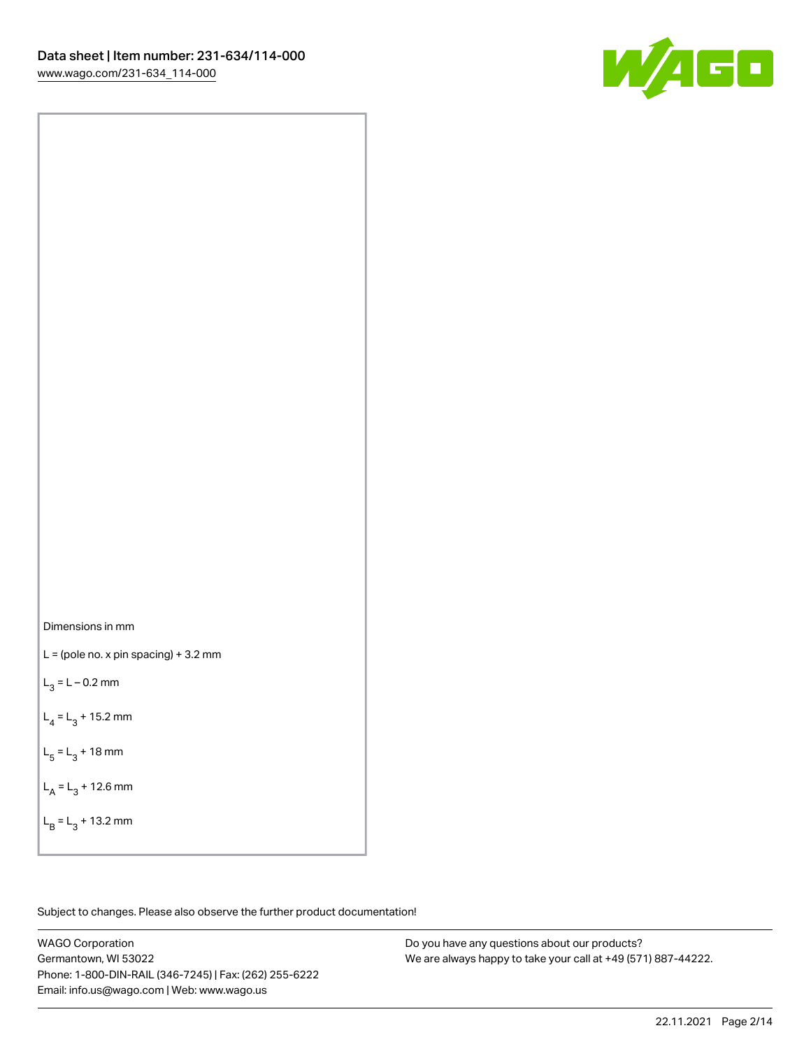

Dimensions in mm

 $L =$  (pole no. x pin spacing) + 3.2 mm

 $L_3 = L - 0.2$  mm

 $L_4 = L_3 + 15.2$  mm

 $L_5 = L_3 + 18$  mm

 $L_A = L_3 + 12.6$  mm

 $L_B = L_3 + 13.2$  mm

Subject to changes. Please also observe the further product documentation!

WAGO Corporation Germantown, WI 53022 Phone: 1-800-DIN-RAIL (346-7245) | Fax: (262) 255-6222 Email: info.us@wago.com | Web: www.wago.us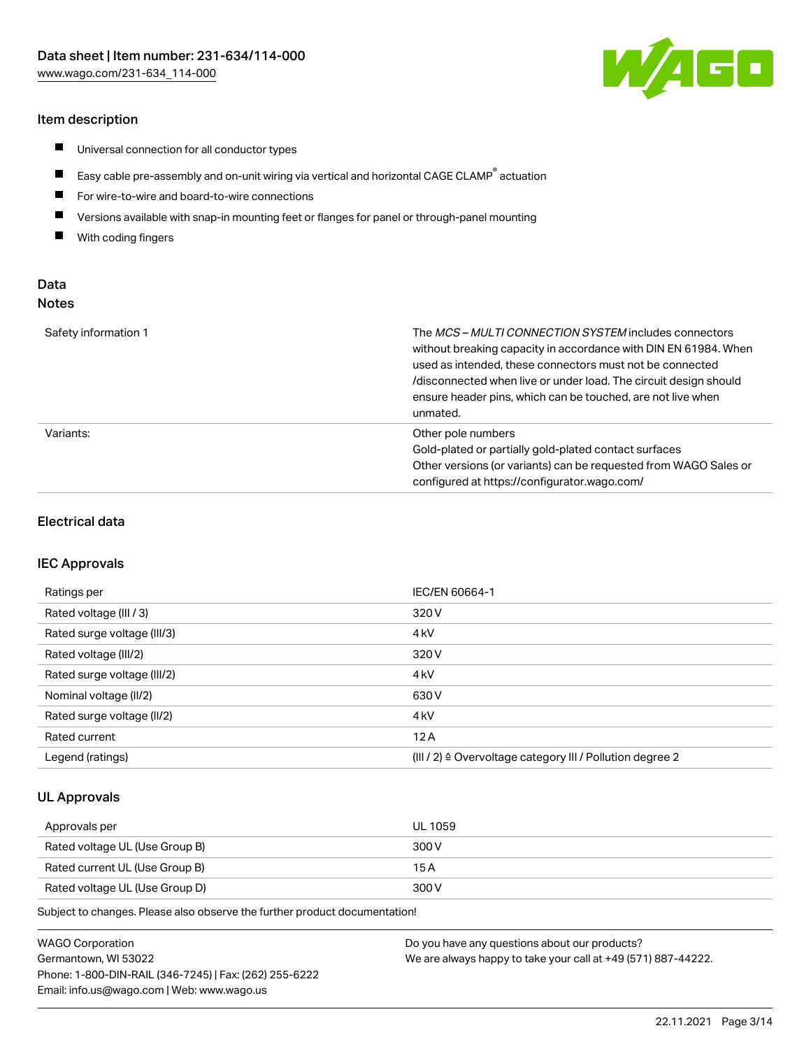# Item description

- $\blacksquare$ Universal connection for all conductor types
- $\blacksquare$ Easy cable pre-assembly and on-unit wiring via vertical and horizontal CAGE CLAMP<sup>®</sup> actuation
- $\blacksquare$ For wire-to-wire and board-to-wire connections
- $\blacksquare$ Versions available with snap-in mounting feet or flanges for panel or through-panel mounting
- $\blacksquare$ With coding fingers

# Data Notes

| Safety information 1 | The <i>MCS – MULTI CONNECTION SYSTEM</i> includes connectors<br>without breaking capacity in accordance with DIN EN 61984. When<br>used as intended, these connectors must not be connected<br>/disconnected when live or under load. The circuit design should<br>ensure header pins, which can be touched, are not live when<br>unmated. |
|----------------------|--------------------------------------------------------------------------------------------------------------------------------------------------------------------------------------------------------------------------------------------------------------------------------------------------------------------------------------------|
| Variants:            | Other pole numbers<br>Gold-plated or partially gold-plated contact surfaces<br>Other versions (or variants) can be requested from WAGO Sales or<br>configured at https://configurator.wago.com/                                                                                                                                            |

## Electrical data

## IEC Approvals

| Ratings per                 | IEC/EN 60664-1                                                        |
|-----------------------------|-----------------------------------------------------------------------|
| Rated voltage (III / 3)     | 320 V                                                                 |
| Rated surge voltage (III/3) | 4 <sub>k</sub> V                                                      |
| Rated voltage (III/2)       | 320 V                                                                 |
| Rated surge voltage (III/2) | 4 <sub>k</sub> V                                                      |
| Nominal voltage (II/2)      | 630 V                                                                 |
| Rated surge voltage (II/2)  | 4 <sub>kV</sub>                                                       |
| Rated current               | 12A                                                                   |
| Legend (ratings)            | $(III / 2)$ $\triangle$ Overvoltage category III / Pollution degree 2 |

# UL Approvals

| Approvals per                  | UL 1059 |
|--------------------------------|---------|
| Rated voltage UL (Use Group B) | 300 V   |
| Rated current UL (Use Group B) | 15 A    |
| Rated voltage UL (Use Group D) | 300 V   |

| WAGO Corporation                                       | Do you have any questions about our products?                 |
|--------------------------------------------------------|---------------------------------------------------------------|
| Germantown. WI 53022                                   | We are always happy to take your call at +49 (571) 887-44222. |
| Phone: 1-800-DIN-RAIL (346-7245)   Fax: (262) 255-6222 |                                                               |
| Email: info.us@wago.com   Web: www.wago.us             |                                                               |

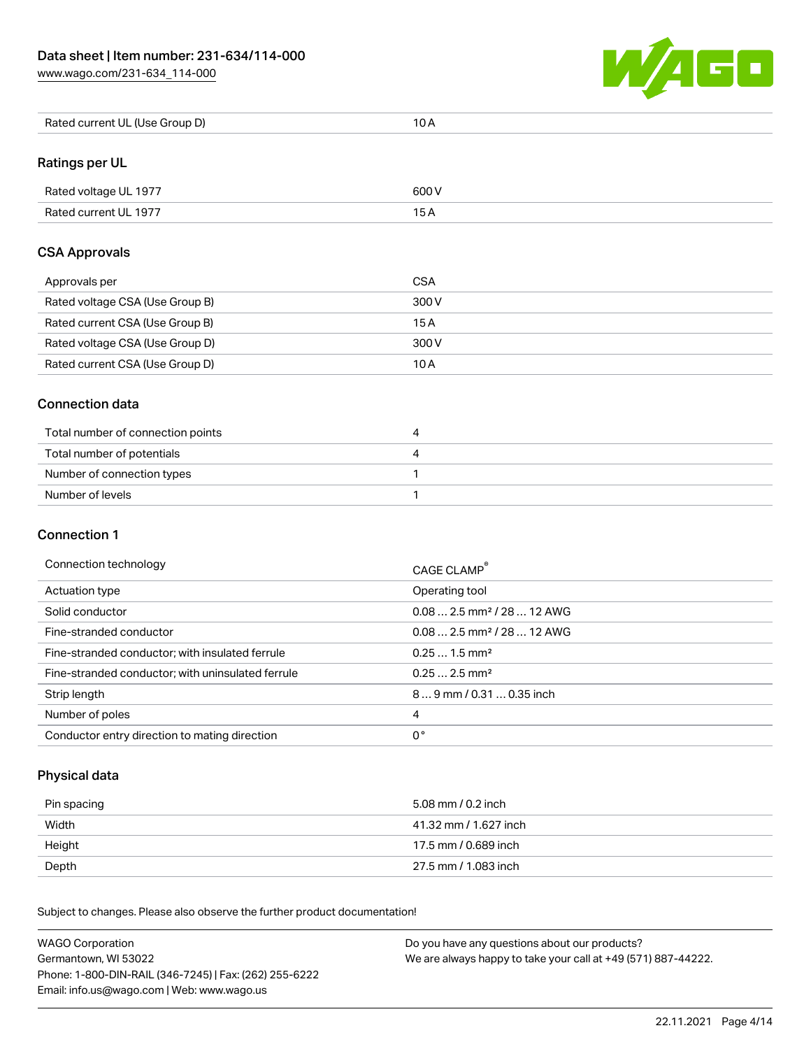[www.wago.com/231-634\\_114-000](http://www.wago.com/231-634_114-000)



| Rated current UL (Use Group D) | 10 A |
|--------------------------------|------|
|--------------------------------|------|

# Ratings per UL

| Rated voltage UL 1977 | 600 V |
|-----------------------|-------|
| Rated current UL 1977 |       |

# CSA Approvals

| Approvals per                   | <b>CSA</b> |
|---------------------------------|------------|
| Rated voltage CSA (Use Group B) | 300 V      |
| Rated current CSA (Use Group B) | 15 A       |
| Rated voltage CSA (Use Group D) | 300 V      |
| Rated current CSA (Use Group D) | 10 A       |

## Connection data

| Total number of connection points | 4 |
|-----------------------------------|---|
| Total number of potentials        | 4 |
| Number of connection types        |   |
| Number of levels                  |   |

# Connection 1

#### Connection technology CAGE CLAMP®

|                                                   | <b>CAGE CLAMP</b>                       |
|---------------------------------------------------|-----------------------------------------|
| Actuation type                                    | Operating tool                          |
| Solid conductor                                   | $0.08$ 2.5 mm <sup>2</sup> / 28  12 AWG |
| Fine-stranded conductor                           | $0.08$ 2.5 mm <sup>2</sup> / 28  12 AWG |
| Fine-stranded conductor; with insulated ferrule   | $0.251.5$ mm <sup>2</sup>               |
| Fine-stranded conductor; with uninsulated ferrule | $0.252.5$ mm <sup>2</sup>               |
| Strip length                                      | 89 mm / 0.31  0.35 inch                 |
| Number of poles                                   | 4                                       |
| Conductor entry direction to mating direction     | 0°                                      |

# Physical data

| Pin spacing | 5.08 mm / 0.2 inch    |
|-------------|-----------------------|
| Width       | 41.32 mm / 1.627 inch |
| Height      | 17.5 mm / 0.689 inch  |
| Depth       | 27.5 mm / 1.083 inch  |

| <b>WAGO Corporation</b>                                | Do you have any questions about our products?                 |
|--------------------------------------------------------|---------------------------------------------------------------|
| Germantown, WI 53022                                   | We are always happy to take your call at +49 (571) 887-44222. |
| Phone: 1-800-DIN-RAIL (346-7245)   Fax: (262) 255-6222 |                                                               |
| Email: info.us@wago.com   Web: www.wago.us             |                                                               |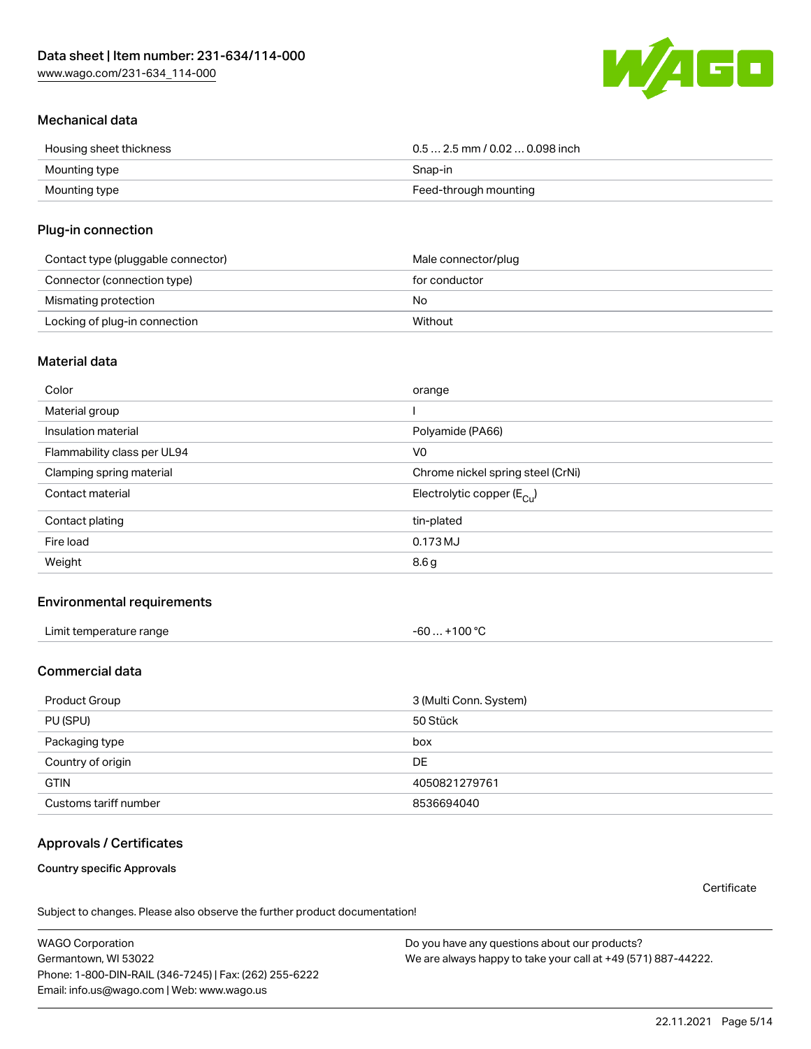[www.wago.com/231-634\\_114-000](http://www.wago.com/231-634_114-000)



# Mechanical data

| Housing sheet thickness | $0.5$ 2.5 mm / 0.02  0.098 inch |
|-------------------------|---------------------------------|
| Mounting type           | Snap-in                         |
| Mounting type           | Feed-through mounting           |

# Plug-in connection

| Contact type (pluggable connector) | Male connector/plug |
|------------------------------------|---------------------|
| Connector (connection type)        | for conductor       |
| Mismating protection               | No                  |
| Locking of plug-in connection      | Without             |

# Material data

| Color                       | orange                                |
|-----------------------------|---------------------------------------|
| Material group              |                                       |
| Insulation material         | Polyamide (PA66)                      |
| Flammability class per UL94 | V <sub>0</sub>                        |
| Clamping spring material    | Chrome nickel spring steel (CrNi)     |
| Contact material            | Electrolytic copper $(E_{\text{Cl}})$ |
| Contact plating             | tin-plated                            |
| Fire load                   | 0.173 MJ                              |
| Weight                      | 8.6g                                  |

# Environmental requirements

| Limit temperature range<br>the contract of the contract of the contract of the contract of the contract of the contract of the contract of | .+100 °C<br>-60 |  |
|--------------------------------------------------------------------------------------------------------------------------------------------|-----------------|--|
|--------------------------------------------------------------------------------------------------------------------------------------------|-----------------|--|

# Commercial data

| Product Group         | 3 (Multi Conn. System) |
|-----------------------|------------------------|
| PU (SPU)              | 50 Stück               |
| Packaging type        | box                    |
| Country of origin     | DE.                    |
| <b>GTIN</b>           | 4050821279761          |
| Customs tariff number | 8536694040             |

# Approvals / Certificates

Country specific Approvals

**Certificate** 

Subject to changes. Please also observe the further product documentation!

WAGO Corporation Germantown, WI 53022 Phone: 1-800-DIN-RAIL (346-7245) | Fax: (262) 255-6222 Email: info.us@wago.com | Web: www.wago.us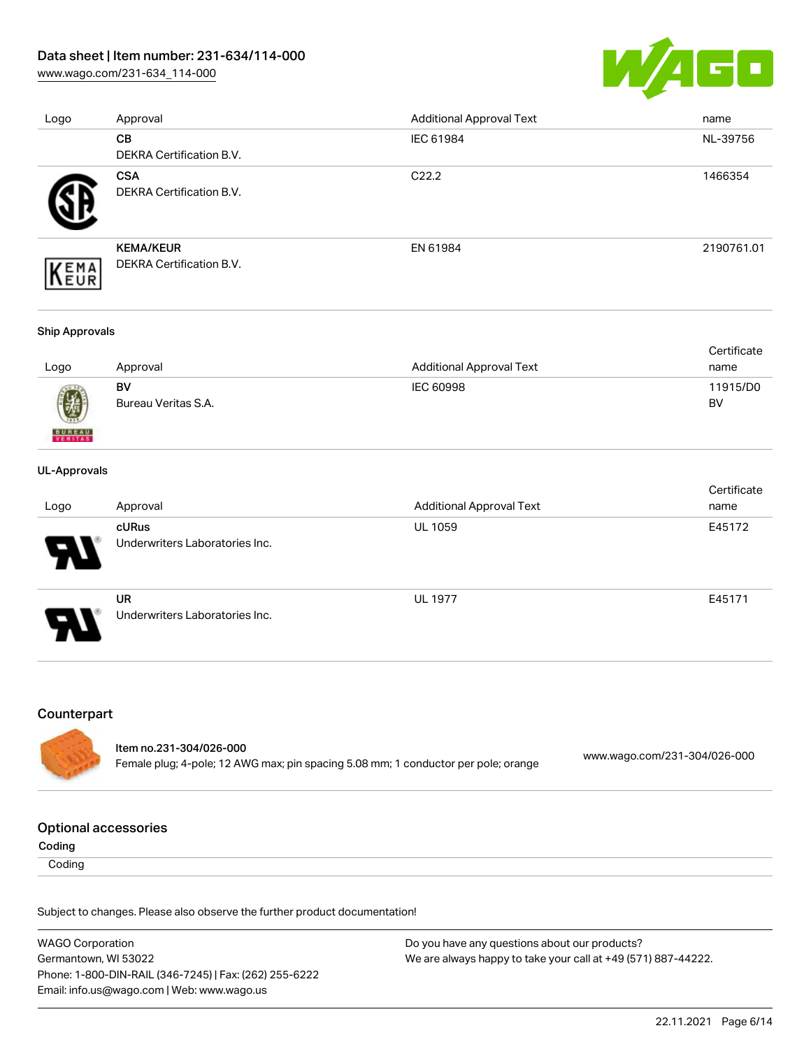[www.wago.com/231-634\\_114-000](http://www.wago.com/231-634_114-000)



| Logo | Approval                                      | <b>Additional Approval Text</b> | name       |
|------|-----------------------------------------------|---------------------------------|------------|
|      | <b>CB</b>                                     | IEC 61984                       | NL-39756   |
|      | <b>DEKRA Certification B.V.</b>               |                                 |            |
|      | <b>CSA</b><br><b>DEKRA Certification B.V.</b> | C <sub>22.2</sub>               | 1466354    |
| EMA  | <b>KEMA/KEUR</b><br>DEKRA Certification B.V.  | EN 61984                        | 2190761.01 |

### Ship Approvals

|      |                     |                                 | Certificate |
|------|---------------------|---------------------------------|-------------|
| Logo | Approval            | <b>Additional Approval Text</b> | name        |
|      | BV                  | IEC 60998                       | 11915/D0    |
| 0    | Bureau Veritas S.A. |                                 | BV          |

## UL-Approvals

**BUREAU** 

|                            |                                             |                                 | Certificate |
|----------------------------|---------------------------------------------|---------------------------------|-------------|
| Logo                       | Approval                                    | <b>Additional Approval Text</b> | name        |
| $\boldsymbol{\mathcal{A}}$ | cURus<br>Underwriters Laboratories Inc.     | <b>UL 1059</b>                  | E45172      |
| J                          | <b>UR</b><br>Underwriters Laboratories Inc. | <b>UL 1977</b>                  | E45171      |

# Counterpart

| ltem no.231-304/026-000                                                            | www.wago.com/231-304/026-000 |
|------------------------------------------------------------------------------------|------------------------------|
| Female plug; 4-pole; 12 AWG max; pin spacing 5.08 mm; 1 conductor per pole; orange |                              |

## Optional accessories

Coding

**Coding** 

| <b>WAGO Corporation</b>                                | Do you have any questions about our products?                 |
|--------------------------------------------------------|---------------------------------------------------------------|
| Germantown, WI 53022                                   | We are always happy to take your call at +49 (571) 887-44222. |
| Phone: 1-800-DIN-RAIL (346-7245)   Fax: (262) 255-6222 |                                                               |
| Email: info.us@wago.com   Web: www.wago.us             |                                                               |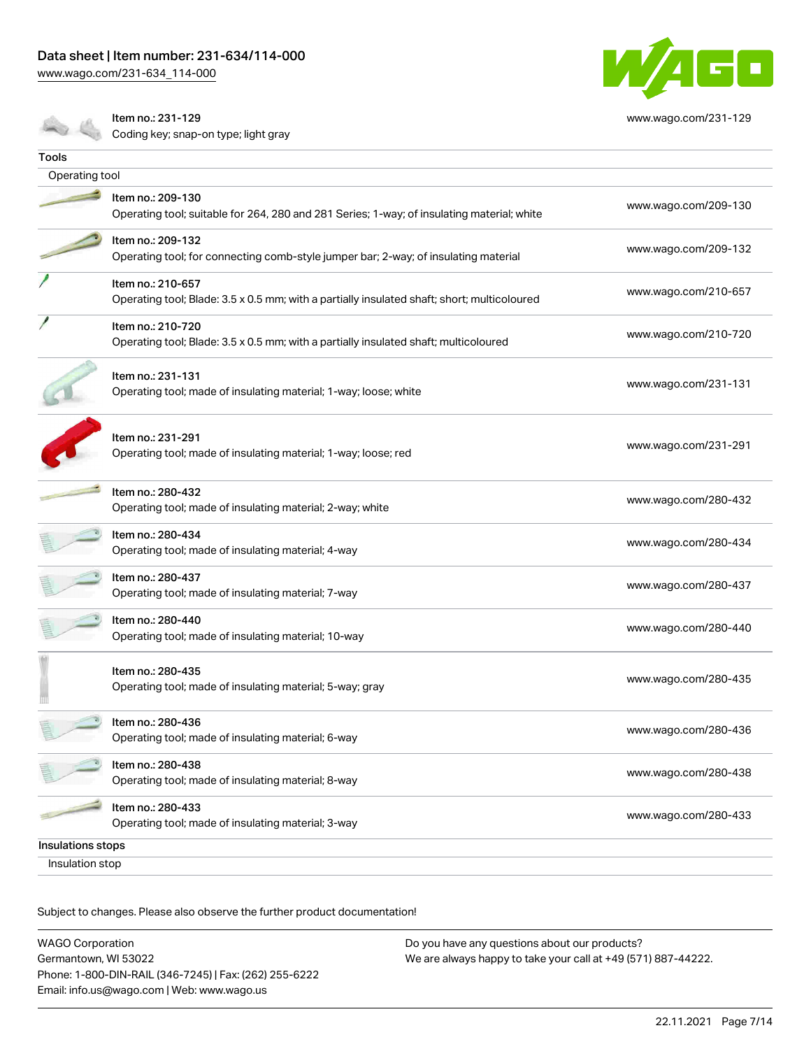[www.wago.com/231-634\\_114-000](http://www.wago.com/231-634_114-000)



[www.wago.com/231-129](http://www.wago.com/231-129)

Item no.: 231-129 Item no.. 201-120<br>Coding key; snap-on type; light gray

| Tools             |                                                                                                                  |                      |
|-------------------|------------------------------------------------------------------------------------------------------------------|----------------------|
| Operating tool    |                                                                                                                  |                      |
|                   | Item no.: 209-130<br>Operating tool; suitable for 264, 280 and 281 Series; 1-way; of insulating material; white  | www.wago.com/209-130 |
|                   | Item no.: 209-132<br>Operating tool; for connecting comb-style jumper bar; 2-way; of insulating material         | www.wago.com/209-132 |
|                   | Item no.: 210-657<br>Operating tool; Blade: 3.5 x 0.5 mm; with a partially insulated shaft; short; multicoloured | www.wago.com/210-657 |
|                   | Item no.: 210-720<br>Operating tool; Blade: 3.5 x 0.5 mm; with a partially insulated shaft; multicoloured        | www.wago.com/210-720 |
|                   | Item no.: 231-131<br>Operating tool; made of insulating material; 1-way; loose; white                            | www.wago.com/231-131 |
|                   | Item no.: 231-291<br>Operating tool; made of insulating material; 1-way; loose; red                              | www.wago.com/231-291 |
|                   | Item no.: 280-432<br>Operating tool; made of insulating material; 2-way; white                                   | www.wago.com/280-432 |
|                   | Item no.: 280-434<br>Operating tool; made of insulating material; 4-way                                          | www.wago.com/280-434 |
|                   | Item no.: 280-437<br>Operating tool; made of insulating material; 7-way                                          | www.wago.com/280-437 |
|                   | Item no.: 280-440<br>Operating tool; made of insulating material; 10-way                                         | www.wago.com/280-440 |
|                   | Item no.: 280-435<br>Operating tool; made of insulating material; 5-way; gray                                    | www.wago.com/280-435 |
|                   | Item no.: 280-436<br>Operating tool; made of insulating material; 6-way                                          | www.wago.com/280-436 |
|                   | Item no.: 280-438<br>Operating tool; made of insulating material; 8-way                                          | www.wago.com/280-438 |
|                   | Item no.: 280-433<br>Operating tool; made of insulating material; 3-way                                          | www.wago.com/280-433 |
| Insulations stops |                                                                                                                  |                      |
| Insulation stop   |                                                                                                                  |                      |
|                   |                                                                                                                  |                      |

| <b>WAGO Corporation</b>                                | Do you have any questions about our products?                 |
|--------------------------------------------------------|---------------------------------------------------------------|
| Germantown, WI 53022                                   | We are always happy to take your call at +49 (571) 887-44222. |
| Phone: 1-800-DIN-RAIL (346-7245)   Fax: (262) 255-6222 |                                                               |
| Email: info.us@wago.com   Web: www.wago.us             |                                                               |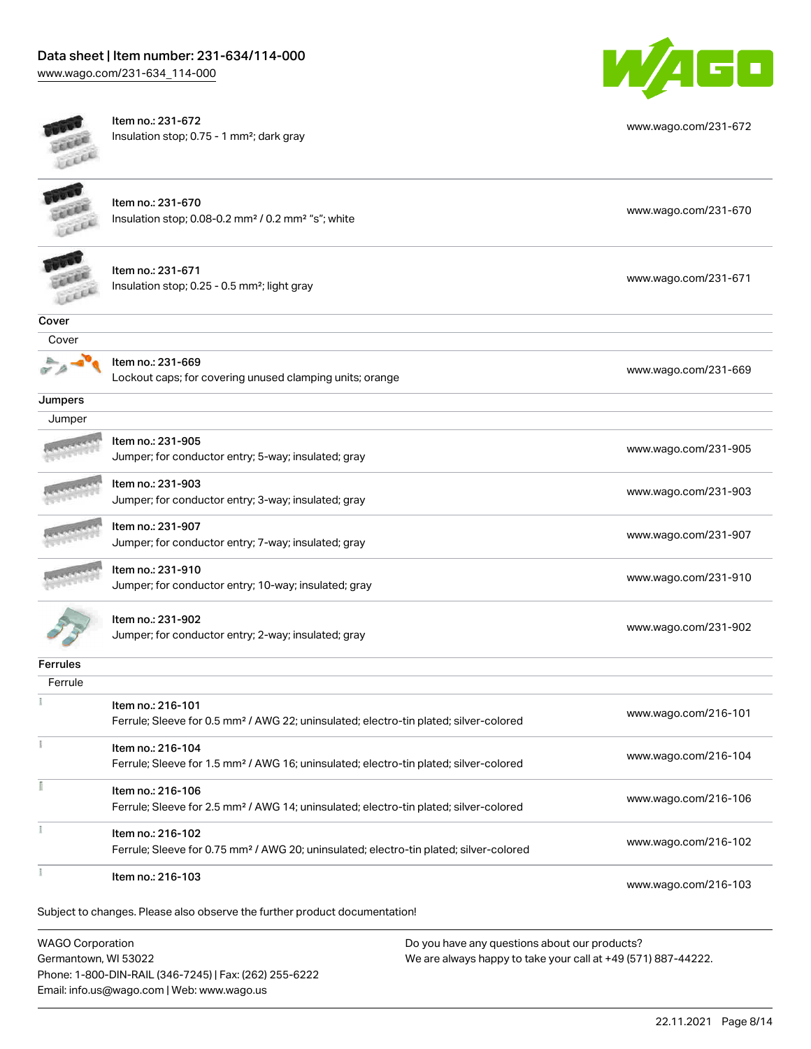[www.wago.com/231-634\\_114-000](http://www.wago.com/231-634_114-000)



|                         | Item no.: 231-672<br>Insulation stop; 0.75 - 1 mm <sup>2</sup> ; dark gray                         | www.wago.com/231-672 |
|-------------------------|----------------------------------------------------------------------------------------------------|----------------------|
|                         |                                                                                                    |                      |
|                         | Item no.: 231-670                                                                                  |                      |
|                         | Insulation stop; 0.08-0.2 mm <sup>2</sup> / 0.2 mm <sup>2</sup> "s"; white                         | www.wago.com/231-670 |
|                         | Item no.: 231-671                                                                                  |                      |
|                         | Insulation stop; 0.25 - 0.5 mm <sup>2</sup> ; light gray                                           | www.wago.com/231-671 |
| Cover                   |                                                                                                    |                      |
| Cover                   |                                                                                                    |                      |
|                         | Item no.: 231-669<br>Lockout caps; for covering unused clamping units; orange                      | www.wago.com/231-669 |
| Jumpers                 |                                                                                                    |                      |
| Jumper                  |                                                                                                    |                      |
|                         | Item no.: 231-905                                                                                  |                      |
|                         | Jumper; for conductor entry; 5-way; insulated; gray                                                | www.wago.com/231-905 |
|                         | Item no.: 231-903                                                                                  |                      |
|                         | Jumper; for conductor entry; 3-way; insulated; gray                                                | www.wago.com/231-903 |
|                         | Item no.: 231-907                                                                                  |                      |
|                         | Jumper; for conductor entry; 7-way; insulated; gray                                                | www.wago.com/231-907 |
|                         | Item no.: 231-910                                                                                  |                      |
|                         | Jumper; for conductor entry; 10-way; insulated; gray                                               | www.wago.com/231-910 |
|                         | Item no.: 231-902                                                                                  |                      |
|                         | Jumper; for conductor entry; 2-way; insulated; gray                                                | www.wago.com/231-902 |
| <b>Ferrules</b>         |                                                                                                    |                      |
| Ferrule                 |                                                                                                    |                      |
|                         | Item no.: 216-101                                                                                  |                      |
|                         | Ferrule; Sleeve for 0.5 mm <sup>2</sup> / AWG 22; uninsulated; electro-tin plated; silver-colored  | www.wago.com/216-101 |
| Ť                       | Item no.: 216-104                                                                                  |                      |
|                         | Ferrule; Sleeve for 1.5 mm <sup>2</sup> / AWG 16; uninsulated; electro-tin plated; silver-colored  | www.wago.com/216-104 |
| î                       | Item no.: 216-106                                                                                  |                      |
|                         | Ferrule; Sleeve for 2.5 mm <sup>2</sup> / AWG 14; uninsulated; electro-tin plated; silver-colored  | www.wago.com/216-106 |
|                         | Item no.: 216-102                                                                                  |                      |
|                         | Ferrule; Sleeve for 0.75 mm <sup>2</sup> / AWG 20; uninsulated; electro-tin plated; silver-colored | www.wago.com/216-102 |
| ł                       | Item no.: 216-103                                                                                  | www.wago.com/216-103 |
|                         | Subject to changes. Please also observe the further product documentation!                         |                      |
|                         |                                                                                                    |                      |
| <b>WAGO Corporation</b> | Do you have any questions about our products?                                                      |                      |

Germantown, WI 53022 Phone: 1-800-DIN-RAIL (346-7245) | Fax: (262) 255-6222 Email: info.us@wago.com | Web: www.wago.us

We are always happy to take your call at +49 (571) 887-44222.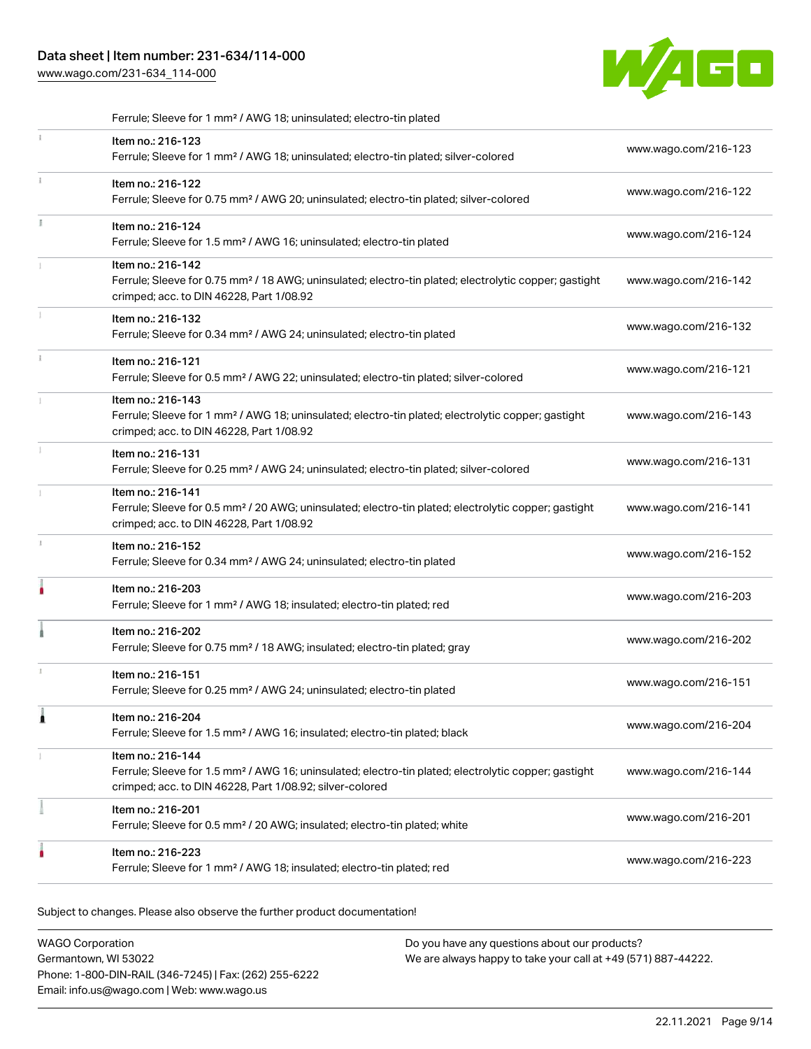[www.wago.com/231-634\\_114-000](http://www.wago.com/231-634_114-000)



|    | Ferrule; Sleeve for 1 mm <sup>2</sup> / AWG 18; uninsulated; electro-tin plated                                                                                                                   |                      |
|----|---------------------------------------------------------------------------------------------------------------------------------------------------------------------------------------------------|----------------------|
| Î. | Item no.: 216-123<br>Ferrule; Sleeve for 1 mm <sup>2</sup> / AWG 18; uninsulated; electro-tin plated; silver-colored                                                                              | www.wago.com/216-123 |
| Î. | Item no.: 216-122<br>Ferrule; Sleeve for 0.75 mm <sup>2</sup> / AWG 20; uninsulated; electro-tin plated; silver-colored                                                                           | www.wago.com/216-122 |
|    | Item no.: 216-124<br>Ferrule; Sleeve for 1.5 mm <sup>2</sup> / AWG 16; uninsulated; electro-tin plated                                                                                            | www.wago.com/216-124 |
|    | Item no.: 216-142<br>Ferrule; Sleeve for 0.75 mm <sup>2</sup> / 18 AWG; uninsulated; electro-tin plated; electrolytic copper; gastight<br>crimped; acc. to DIN 46228, Part 1/08.92                | www.wago.com/216-142 |
|    | Item no.: 216-132<br>Ferrule; Sleeve for 0.34 mm <sup>2</sup> / AWG 24; uninsulated; electro-tin plated                                                                                           | www.wago.com/216-132 |
| i. | Item no.: 216-121<br>Ferrule; Sleeve for 0.5 mm <sup>2</sup> / AWG 22; uninsulated; electro-tin plated; silver-colored                                                                            | www.wago.com/216-121 |
|    | Item no.: 216-143<br>Ferrule; Sleeve for 1 mm <sup>2</sup> / AWG 18; uninsulated; electro-tin plated; electrolytic copper; gastight<br>crimped; acc. to DIN 46228, Part 1/08.92                   | www.wago.com/216-143 |
| ĵ. | Item no.: 216-131<br>Ferrule; Sleeve for 0.25 mm <sup>2</sup> / AWG 24; uninsulated; electro-tin plated; silver-colored                                                                           | www.wago.com/216-131 |
|    | Item no.: 216-141<br>Ferrule; Sleeve for 0.5 mm <sup>2</sup> / 20 AWG; uninsulated; electro-tin plated; electrolytic copper; gastight<br>crimped; acc. to DIN 46228, Part 1/08.92                 | www.wago.com/216-141 |
| J. | Item no.: 216-152<br>Ferrule; Sleeve for 0.34 mm <sup>2</sup> / AWG 24; uninsulated; electro-tin plated                                                                                           | www.wago.com/216-152 |
|    | Item no.: 216-203<br>Ferrule; Sleeve for 1 mm <sup>2</sup> / AWG 18; insulated; electro-tin plated; red                                                                                           | www.wago.com/216-203 |
|    | Item no.: 216-202<br>Ferrule; Sleeve for 0.75 mm <sup>2</sup> / 18 AWG; insulated; electro-tin plated; gray                                                                                       | www.wago.com/216-202 |
| x  | Item no.: 216-151<br>Ferrule; Sleeve for 0.25 mm <sup>2</sup> / AWG 24; uninsulated; electro-tin plated                                                                                           | www.wago.com/216-151 |
| 1  | Item no.: 216-204<br>Ferrule; Sleeve for 1.5 mm <sup>2</sup> / AWG 16; insulated; electro-tin plated; black                                                                                       | www.wago.com/216-204 |
|    | Item no.: 216-144<br>Ferrule; Sleeve for 1.5 mm <sup>2</sup> / AWG 16; uninsulated; electro-tin plated; electrolytic copper; gastight<br>crimped; acc. to DIN 46228, Part 1/08.92; silver-colored | www.wago.com/216-144 |
|    | Item no.: 216-201<br>Ferrule; Sleeve for 0.5 mm <sup>2</sup> / 20 AWG; insulated; electro-tin plated; white                                                                                       | www.wago.com/216-201 |
|    | Item no.: 216-223<br>Ferrule; Sleeve for 1 mm <sup>2</sup> / AWG 18; insulated; electro-tin plated; red                                                                                           | www.wago.com/216-223 |

| <b>WAGO Corporation</b>                                | Do you have any questions about our products?                 |
|--------------------------------------------------------|---------------------------------------------------------------|
| Germantown, WI 53022                                   | We are always happy to take your call at +49 (571) 887-44222. |
| Phone: 1-800-DIN-RAIL (346-7245)   Fax: (262) 255-6222 |                                                               |
| Email: info.us@wago.com   Web: www.wago.us             |                                                               |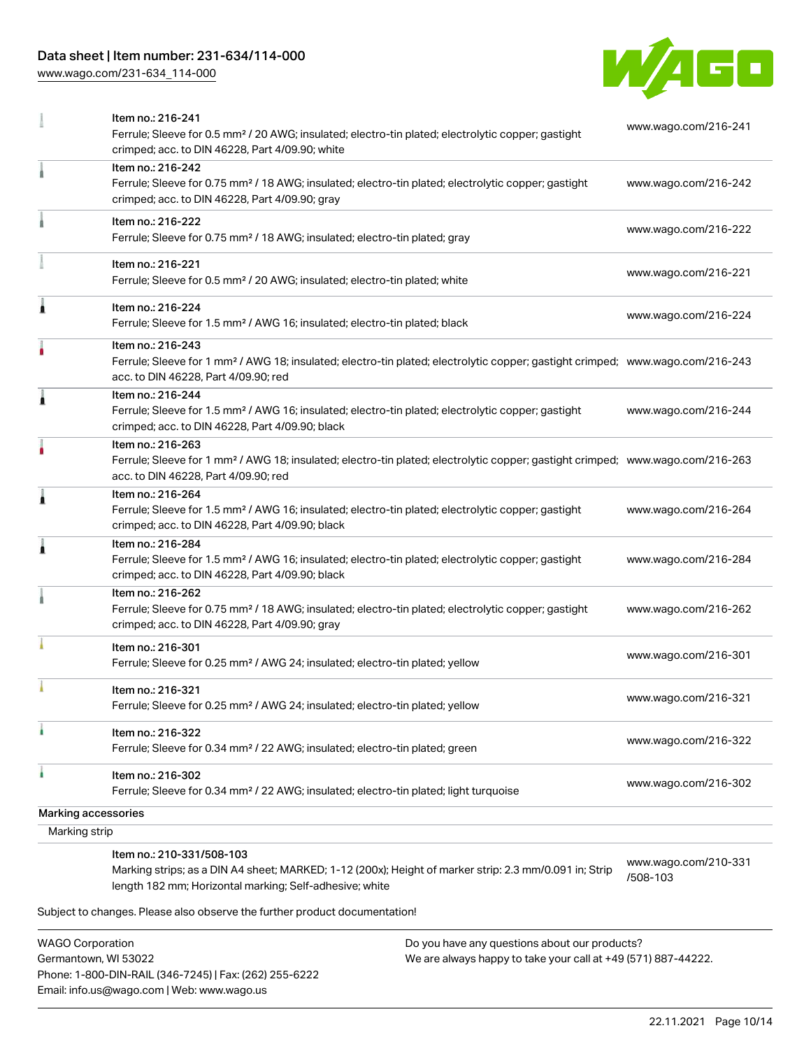Phone: 1-800-DIN-RAIL (346-7245) | Fax: (262) 255-6222

Email: info.us@wago.com | Web: www.wago.us

[www.wago.com/231-634\\_114-000](http://www.wago.com/231-634_114-000)



|                                                 | Item no.: 216-241<br>Ferrule; Sleeve for 0.5 mm <sup>2</sup> / 20 AWG; insulated; electro-tin plated; electrolytic copper; gastight                                                                                                       |                                                                                                                | www.wago.com/216-241             |  |
|-------------------------------------------------|-------------------------------------------------------------------------------------------------------------------------------------------------------------------------------------------------------------------------------------------|----------------------------------------------------------------------------------------------------------------|----------------------------------|--|
|                                                 | crimped; acc. to DIN 46228, Part 4/09.90; white<br>Item no.: 216-242<br>Ferrule; Sleeve for 0.75 mm <sup>2</sup> / 18 AWG; insulated; electro-tin plated; electrolytic copper; gastight<br>crimped; acc. to DIN 46228, Part 4/09.90; gray |                                                                                                                | www.wago.com/216-242             |  |
|                                                 | Item no.: 216-222<br>Ferrule; Sleeve for 0.75 mm <sup>2</sup> / 18 AWG; insulated; electro-tin plated; gray                                                                                                                               |                                                                                                                | www.wago.com/216-222             |  |
|                                                 | Item no.: 216-221<br>Ferrule; Sleeve for 0.5 mm <sup>2</sup> / 20 AWG; insulated; electro-tin plated; white                                                                                                                               |                                                                                                                | www.wago.com/216-221             |  |
| Â                                               | Item no.: 216-224<br>Ferrule; Sleeve for 1.5 mm <sup>2</sup> / AWG 16; insulated; electro-tin plated; black                                                                                                                               |                                                                                                                | www.wago.com/216-224             |  |
|                                                 | Item no.: 216-243<br>Ferrule; Sleeve for 1 mm <sup>2</sup> / AWG 18; insulated; electro-tin plated; electrolytic copper; gastight crimped; www.wago.com/216-243<br>acc. to DIN 46228, Part 4/09.90; red                                   |                                                                                                                |                                  |  |
| 1                                               | Item no.: 216-244<br>Ferrule; Sleeve for 1.5 mm <sup>2</sup> / AWG 16; insulated; electro-tin plated; electrolytic copper; gastight<br>crimped; acc. to DIN 46228, Part 4/09.90; black                                                    |                                                                                                                | www.wago.com/216-244             |  |
|                                                 | Item no.: 216-263<br>Ferrule; Sleeve for 1 mm <sup>2</sup> / AWG 18; insulated; electro-tin plated; electrolytic copper; gastight crimped; www.wago.com/216-263<br>acc. to DIN 46228, Part 4/09.90; red                                   |                                                                                                                |                                  |  |
| 1                                               | Item no.: 216-264<br>Ferrule; Sleeve for 1.5 mm <sup>2</sup> / AWG 16; insulated; electro-tin plated; electrolytic copper; gastight<br>crimped; acc. to DIN 46228, Part 4/09.90; black                                                    |                                                                                                                | www.wago.com/216-264             |  |
|                                                 | Item no.: 216-284<br>Ferrule; Sleeve for 1.5 mm <sup>2</sup> / AWG 16; insulated; electro-tin plated; electrolytic copper; gastight<br>crimped; acc. to DIN 46228, Part 4/09.90; black                                                    |                                                                                                                | www.wago.com/216-284             |  |
|                                                 | Item no.: 216-262<br>Ferrule; Sleeve for 0.75 mm <sup>2</sup> / 18 AWG; insulated; electro-tin plated; electrolytic copper; gastight<br>crimped; acc. to DIN 46228, Part 4/09.90; gray                                                    |                                                                                                                | www.wago.com/216-262             |  |
|                                                 | Item no.: 216-301<br>Ferrule; Sleeve for 0.25 mm <sup>2</sup> / AWG 24; insulated; electro-tin plated; yellow                                                                                                                             |                                                                                                                | www.wago.com/216-301             |  |
|                                                 | Item no.: 216-321<br>Ferrule; Sleeve for 0.25 mm <sup>2</sup> / AWG 24; insulated; electro-tin plated; yellow                                                                                                                             |                                                                                                                | www.wago.com/216-321             |  |
|                                                 | Item no.: 216-322<br>Ferrule; Sleeve for 0.34 mm <sup>2</sup> / 22 AWG; insulated; electro-tin plated; green                                                                                                                              |                                                                                                                | www.wago.com/216-322             |  |
|                                                 | Item no.: 216-302<br>Ferrule; Sleeve for 0.34 mm <sup>2</sup> / 22 AWG; insulated; electro-tin plated; light turquoise                                                                                                                    |                                                                                                                | www.wago.com/216-302             |  |
| Marking accessories                             |                                                                                                                                                                                                                                           |                                                                                                                |                                  |  |
| Marking strip                                   |                                                                                                                                                                                                                                           |                                                                                                                |                                  |  |
|                                                 | Item no.: 210-331/508-103<br>Marking strips; as a DIN A4 sheet; MARKED; 1-12 (200x); Height of marker strip: 2.3 mm/0.091 in; Strip<br>length 182 mm; Horizontal marking; Self-adhesive; white                                            |                                                                                                                | www.wago.com/210-331<br>/508-103 |  |
|                                                 | Subject to changes. Please also observe the further product documentation!                                                                                                                                                                |                                                                                                                |                                  |  |
| <b>WAGO Corporation</b><br>Germantown, WI 53022 |                                                                                                                                                                                                                                           | Do you have any questions about our products?<br>We are always happy to take your call at +49 (571) 887-44222. |                                  |  |

22.11.2021 Page 10/14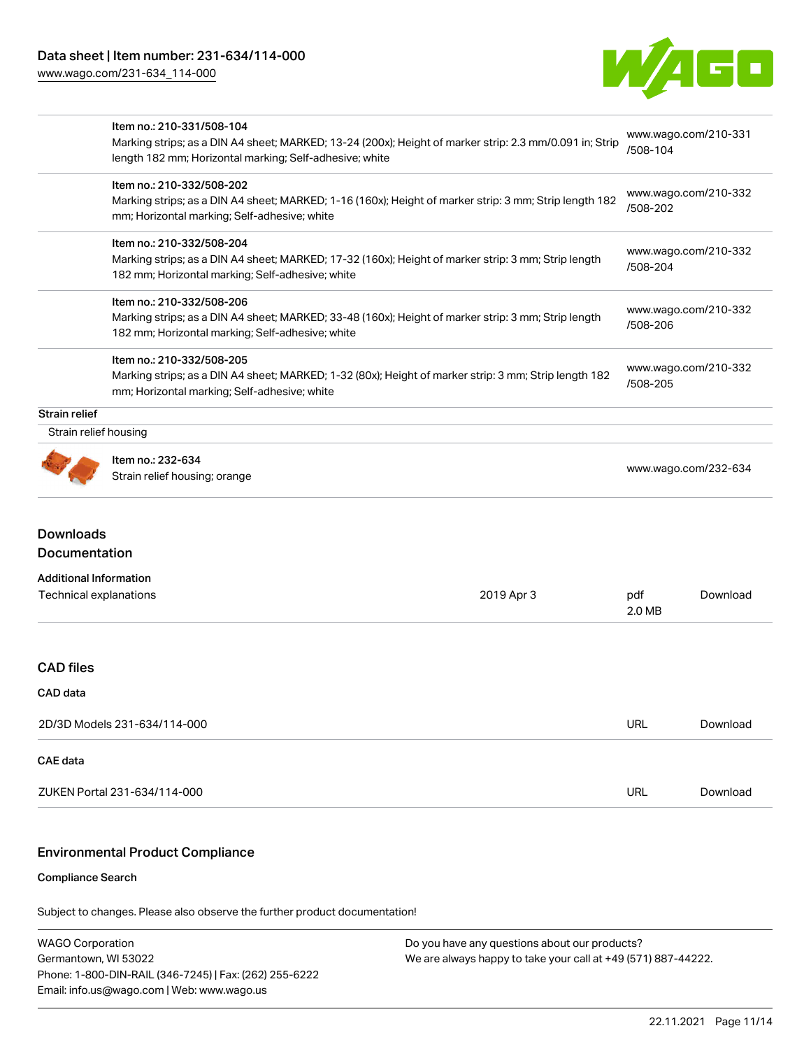[www.wago.com/231-634\\_114-000](http://www.wago.com/231-634_114-000)



| Item no.: 210-331/508-104                        |                                                                                                                                                                                                                                            |                                                                                                                                                                                                                                                                                                                                                                                                                               | www.wago.com/210-331                                                                                                            |  |
|--------------------------------------------------|--------------------------------------------------------------------------------------------------------------------------------------------------------------------------------------------------------------------------------------------|-------------------------------------------------------------------------------------------------------------------------------------------------------------------------------------------------------------------------------------------------------------------------------------------------------------------------------------------------------------------------------------------------------------------------------|---------------------------------------------------------------------------------------------------------------------------------|--|
|                                                  |                                                                                                                                                                                                                                            |                                                                                                                                                                                                                                                                                                                                                                                                                               |                                                                                                                                 |  |
| Item no.: 210-332/508-202                        |                                                                                                                                                                                                                                            |                                                                                                                                                                                                                                                                                                                                                                                                                               | www.wago.com/210-332                                                                                                            |  |
|                                                  |                                                                                                                                                                                                                                            | /508-202                                                                                                                                                                                                                                                                                                                                                                                                                      |                                                                                                                                 |  |
|                                                  |                                                                                                                                                                                                                                            |                                                                                                                                                                                                                                                                                                                                                                                                                               |                                                                                                                                 |  |
|                                                  |                                                                                                                                                                                                                                            | www.wago.com/210-332                                                                                                                                                                                                                                                                                                                                                                                                          |                                                                                                                                 |  |
| 182 mm; Horizontal marking; Self-adhesive; white |                                                                                                                                                                                                                                            |                                                                                                                                                                                                                                                                                                                                                                                                                               |                                                                                                                                 |  |
| Item no.: 210-332/508-206                        |                                                                                                                                                                                                                                            |                                                                                                                                                                                                                                                                                                                                                                                                                               |                                                                                                                                 |  |
|                                                  |                                                                                                                                                                                                                                            | www.wago.com/210-332<br>/508-206                                                                                                                                                                                                                                                                                                                                                                                              |                                                                                                                                 |  |
|                                                  |                                                                                                                                                                                                                                            |                                                                                                                                                                                                                                                                                                                                                                                                                               |                                                                                                                                 |  |
| Item no.: 210-332/508-205                        |                                                                                                                                                                                                                                            | www.wago.com/210-332                                                                                                                                                                                                                                                                                                                                                                                                          |                                                                                                                                 |  |
| mm; Horizontal marking; Self-adhesive; white     |                                                                                                                                                                                                                                            |                                                                                                                                                                                                                                                                                                                                                                                                                               | /508-205                                                                                                                        |  |
|                                                  |                                                                                                                                                                                                                                            |                                                                                                                                                                                                                                                                                                                                                                                                                               |                                                                                                                                 |  |
| Strain relief housing                            |                                                                                                                                                                                                                                            |                                                                                                                                                                                                                                                                                                                                                                                                                               |                                                                                                                                 |  |
| Item no.: 232-634                                |                                                                                                                                                                                                                                            |                                                                                                                                                                                                                                                                                                                                                                                                                               |                                                                                                                                 |  |
| Strain relief housing; orange                    |                                                                                                                                                                                                                                            | www.wago.com/232-634                                                                                                                                                                                                                                                                                                                                                                                                          |                                                                                                                                 |  |
|                                                  |                                                                                                                                                                                                                                            |                                                                                                                                                                                                                                                                                                                                                                                                                               |                                                                                                                                 |  |
|                                                  |                                                                                                                                                                                                                                            |                                                                                                                                                                                                                                                                                                                                                                                                                               |                                                                                                                                 |  |
|                                                  |                                                                                                                                                                                                                                            |                                                                                                                                                                                                                                                                                                                                                                                                                               |                                                                                                                                 |  |
| Technical explanations                           | 2019 Apr 3                                                                                                                                                                                                                                 | pdf                                                                                                                                                                                                                                                                                                                                                                                                                           | Download                                                                                                                        |  |
|                                                  |                                                                                                                                                                                                                                            | 2.0 MB                                                                                                                                                                                                                                                                                                                                                                                                                        |                                                                                                                                 |  |
|                                                  |                                                                                                                                                                                                                                            |                                                                                                                                                                                                                                                                                                                                                                                                                               |                                                                                                                                 |  |
|                                                  |                                                                                                                                                                                                                                            |                                                                                                                                                                                                                                                                                                                                                                                                                               |                                                                                                                                 |  |
|                                                  |                                                                                                                                                                                                                                            |                                                                                                                                                                                                                                                                                                                                                                                                                               |                                                                                                                                 |  |
| 2D/3D Models 231-634/114-000                     |                                                                                                                                                                                                                                            | <b>URL</b>                                                                                                                                                                                                                                                                                                                                                                                                                    | Download                                                                                                                        |  |
|                                                  |                                                                                                                                                                                                                                            |                                                                                                                                                                                                                                                                                                                                                                                                                               |                                                                                                                                 |  |
|                                                  |                                                                                                                                                                                                                                            |                                                                                                                                                                                                                                                                                                                                                                                                                               |                                                                                                                                 |  |
| <b>Downloads</b>                                 | length 182 mm; Horizontal marking; Self-adhesive; white<br>mm; Horizontal marking; Self-adhesive; white<br>Item no.: 210-332/508-204<br>182 mm; Horizontal marking; Self-adhesive; white<br>Documentation<br><b>Additional Information</b> | Marking strips; as a DIN A4 sheet; MARKED; 1-16 (160x); Height of marker strip: 3 mm; Strip length 182<br>Marking strips; as a DIN A4 sheet; MARKED; 17-32 (160x); Height of marker strip: 3 mm; Strip length<br>Marking strips; as a DIN A4 sheet; MARKED; 33-48 (160x); Height of marker strip: 3 mm; Strip length<br>Marking strips; as a DIN A4 sheet; MARKED; 1-32 (80x); Height of marker strip: 3 mm; Strip length 182 | Marking strips; as a DIN A4 sheet; MARKED; 13-24 (200x); Height of marker strip: 2.3 mm/0.091 in; Strip<br>/508-104<br>/508-204 |  |

Compliance Search

Subject to changes. Please also observe the further product documentation!

WAGO Corporation Germantown, WI 53022 Phone: 1-800-DIN-RAIL (346-7245) | Fax: (262) 255-6222 Email: info.us@wago.com | Web: www.wago.us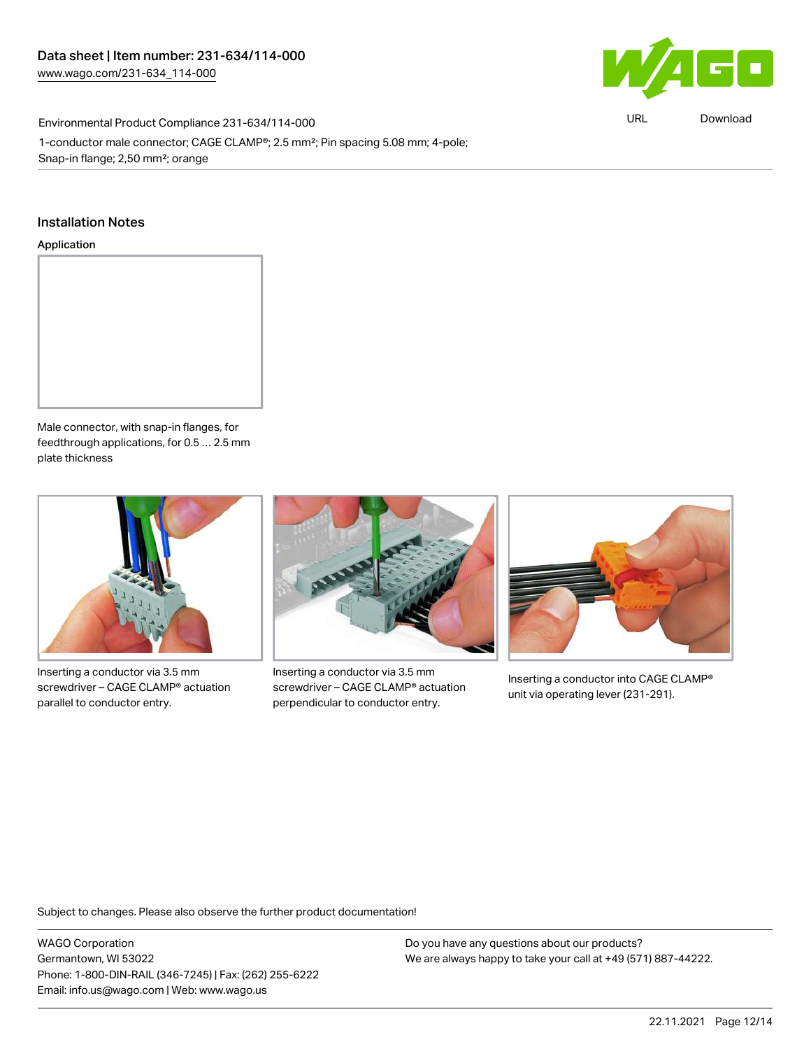

URL [Download](https://www.wago.com/global/d/ComplianceLinkMediaContainer_231-634_114-000)

Environmental Product Compliance 231-634/114-000 1-conductor male connector; CAGE CLAMP®; 2.5 mm²; Pin spacing 5.08 mm; 4-pole; Snap-in flange; 2,50 mm²; orange

#### Installation Notes

#### Application



Male connector, with snap-in flanges, for feedthrough applications, for 0.5 … 2.5 mm plate thickness



Inserting a conductor via 3.5 mm screwdriver – CAGE CLAMP® actuation parallel to conductor entry.



Inserting a conductor via 3.5 mm screwdriver – CAGE CLAMP® actuation perpendicular to conductor entry.



Inserting a conductor into CAGE CLAMP® unit via operating lever (231-291).

Subject to changes. Please also observe the further product documentation!

WAGO Corporation Germantown, WI 53022 Phone: 1-800-DIN-RAIL (346-7245) | Fax: (262) 255-6222 Email: info.us@wago.com | Web: www.wago.us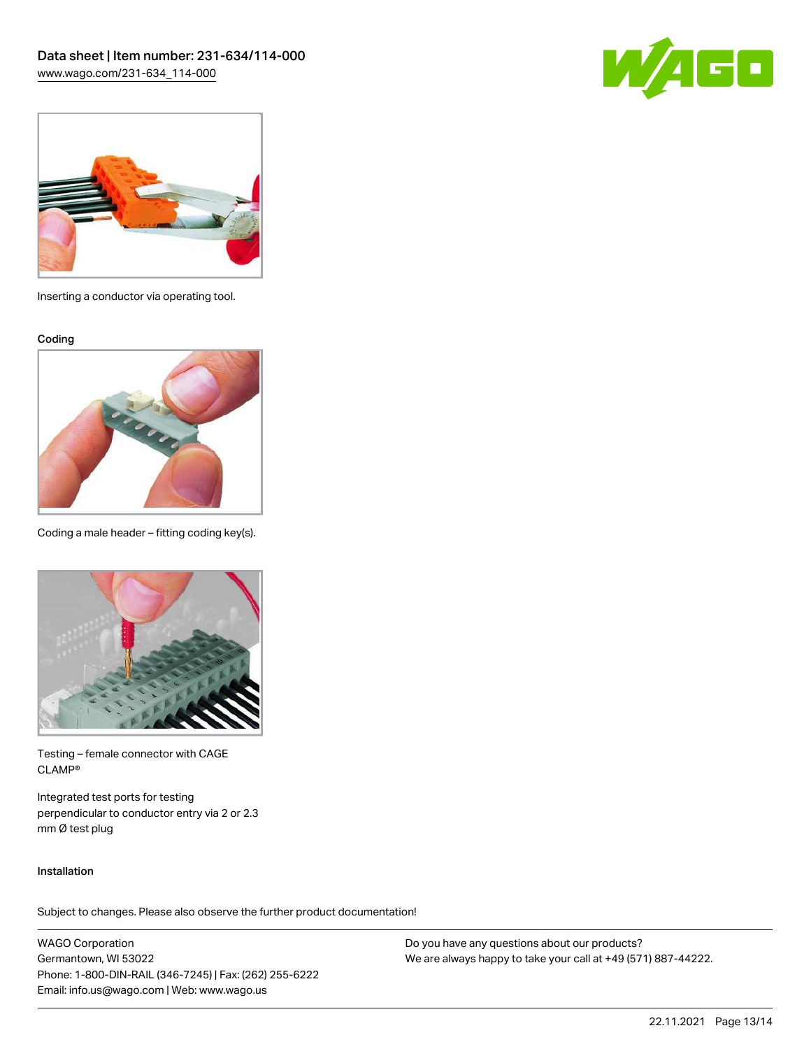



Inserting a conductor via operating tool.

Coding



Coding a male header – fitting coding key(s).



Testing – female connector with CAGE CLAMP®

Integrated test ports for testing perpendicular to conductor entry via 2 or 2.3 mm Ø test plug

#### Installation

Subject to changes. Please also observe the further product documentation!

WAGO Corporation Germantown, WI 53022 Phone: 1-800-DIN-RAIL (346-7245) | Fax: (262) 255-6222 Email: info.us@wago.com | Web: www.wago.us